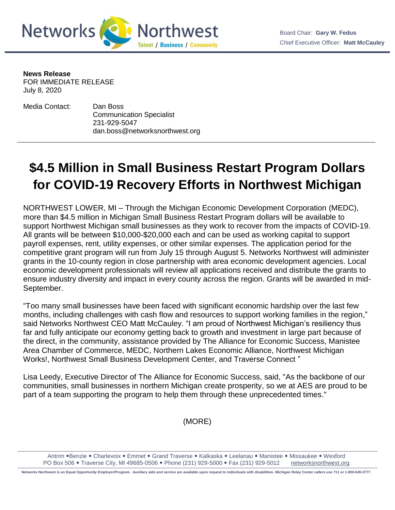

**News Release**

FOR IMMEDIATE RELEASE July 8, 2020

Media Contact: Dan Boss Communication Specialist 231-929-5047 dan.boss@networksnorthwest.org

## **\$4.5 Million in Small Business Restart Program Dollars for COVID-19 Recovery Efforts in Northwest Michigan**

NORTHWEST LOWER, MI – Through the Michigan Economic Development Corporation (MEDC), more than \$4.5 million in Michigan Small Business Restart Program dollars will be available to support Northwest Michigan small businesses as they work to recover from the impacts of COVID-19. All grants will be between \$10,000-\$20,000 each and can be used as working capital to support payroll expenses, rent, utility expenses, or other similar expenses. The application period for the competitive grant program will run from July 15 through August 5. Networks Northwest will administer grants in the 10-county region in close partnership with area economic development agencies. Local economic development professionals will review all applications received and distribute the grants to ensure industry diversity and impact in every county across the region. Grants will be awarded in mid-September.

"Too many small businesses have been faced with significant economic hardship over the last few months, including challenges with cash flow and resources to support working families in the region," said Networks Northwest CEO Matt McCauley. "I am proud of Northwest Michigan's resiliency thus far and fully anticipate our economy getting back to growth and investment in large part because of the direct, in the community, assistance provided by The Alliance for Economic Success, Manistee Area Chamber of Commerce, MEDC, Northern Lakes Economic Alliance, Northwest Michigan Works!, Northwest Small Business Development Center, and Traverse Connect "

Lisa Leedy, Executive Director of The Alliance for Economic Success, said, "As the backbone of our communities, small businesses in northern Michigan create prosperity, so we at AES are proud to be part of a team supporting the program to help them through these unprecedented times."

(MORE)

Antrim .Benzie . Charlevoix . Emmet . Grand Traverse . Kalkaska . Leelanau . Manistee . Missaukee . Wexford PO Box 506 . Traverse City, MI 49685-0506 . Phone (231) 929-5000 . Fax (231) 929-5012 [networksnorthwest.org](http://www.nwm.org/)

**Networks Northwest is an Equal Opportunity Employer/Program. Auxiliary aids and service are available upon request to individuals with disabilities. Michigan Relay Center callers use 711 or 1-800-649-3777.**